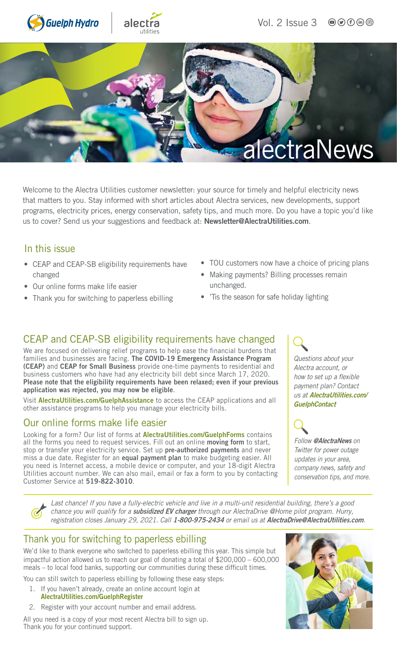





Welcome to the Alectra Utilities customer newsletter: your source for timely and helpful electricity news that matters to you. Stay informed with short articles about Alectra services, new developments, support programs, electricity prices, energy conservation, safety tips, and much more. Do you have a topic you'd like us to cover? Send us your suggestions and feedback at: [Newsletter@AlectraUtilities.com](mailto:newsletter@alectrautilities.com).

#### In this issue

- CEAP and CEAP-SB eligibility requirements have changed
- Our online forms make life easier
- Thank you for switching to paperless ebilling
- TOU customers now have a choice of pricing plans
- Making payments? Billing processes remain unchanged.
- 'Tis the season for safe holiday lighting

### CEAP and CEAP-SB eligibility requirements have changed

We are focused on delivering relief programs to help ease the financial burdens that families and businesses are facing. The COVID-19 Emergency Assistance Program (CEAP) and CEAP for Small Business provide one-time payments to residential and business customers who have had any electricity bill debt since March 17, 2020. Please note that the eligibility requirements have been relaxed; even if your previous application was rejected, you may now be eligible.

Visit [AlectraUtilities.com/GuelphAssistance](http://AlectraUtilities.com/GuelphAssistance) to access the CEAP applications and all other assistance programs to help you manage your electricity bills.

#### Our online forms make life easier

Looking for a form? Our list of forms at **[AlectraUtilities.com/GuelphForms](http://AlectraUtilities.com/GuelphForms)** contains all the forms you need to request services. Fill out an online moving form to start, stop or transfer your electricity service. Set up pre-authorized payments and never miss a due date. Register for an equal payment plan to make budgeting easier. All you need is Internet access, a mobile device or computer, and your 18-digit Alectra Utilities account number. We can also mail, email or fax a form to you by contacting Customer Service at 519-822-3010.

*Questions about your Alectra account, or how to set up a flexible payment plan? Contact us at* [AlectraUtilities.com/](http://AlectraUtilities.com/GuelphContact) **[GuelphContact](http://AlectraUtilities.com/GuelphContact)** 

*Follow* [@AlectraNews](https://twitter.com/alectranews) *on Twitter for power outage updates in your area, company news, safety and* 

*conservation tips, and more.*

*Last chance! If you have a fully-electric vehicle and live in a multi-unit residential building, there's a good chance you will qualify for a* subsidized EV charger *through our AlectraDrive @Home pilot program. Hurry, registration closes January 29, 2021. Call* 1-800-975-2434 *or email us at* [AlectraDrive@AlectraUtilities.com](mailto:AlectraDrive@AlectraUtilities.com)*.* 

### Thank you for switching to paperless ebilling

We'd like to thank everyone who switched to paperless ebilling this year. This simple but impactful action allowed us to reach our goal of donating a total of \$200,000 – 600,000 meals – to local food banks, supporting our communities during these difficult times.

You can still switch to paperless ebilling by following these easy steps:

- 1. If you haven't already, create an online account login at [AlectraUtilities.com/GuelphRegister](http://AlectraUtilities.com/GuelphRegister)
- 2. Register with your account number and email address.

All you need is a copy of your most recent Alectra bill to sign up. Thank you for your continued support.